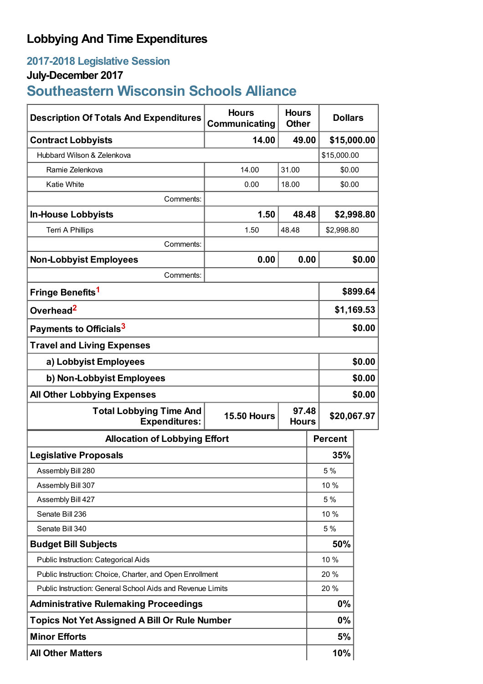## **Lobbying And Time Expenditures**

## **2017-2018 Legislative Session**

## **July-December 2017**

# **Southeastern Wisconsin Schools Alliance**

| <b>Description Of Totals And Expenditures</b>                                                         | <b>Hours</b><br>Communicating | <b>Hours</b><br><b>Other</b> | <b>Dollars</b> |            |
|-------------------------------------------------------------------------------------------------------|-------------------------------|------------------------------|----------------|------------|
| <b>Contract Lobbyists</b>                                                                             | 14.00                         | 49.00                        | \$15,000.00    |            |
| Hubbard Wilson & Zelenkova                                                                            |                               |                              | \$15,000.00    |            |
| Ramie Zelenkova                                                                                       | 14.00                         | 31.00                        | \$0.00         |            |
| <b>Katie White</b>                                                                                    | 0.00                          | 18.00                        | \$0.00         |            |
| Comments:                                                                                             |                               |                              |                |            |
| <b>In-House Lobbyists</b>                                                                             | 1.50                          | 48.48                        |                | \$2,998.80 |
| <b>Terri A Phillips</b>                                                                               | 1.50                          | 48.48                        | \$2,998.80     |            |
| Comments:                                                                                             |                               |                              |                |            |
| <b>Non-Lobbyist Employees</b>                                                                         | 0.00                          | 0.00                         |                | \$0.00     |
| Comments:                                                                                             |                               |                              |                |            |
| Fringe Benefits <sup>1</sup>                                                                          |                               |                              |                | \$899.64   |
| Overhead <sup>2</sup>                                                                                 |                               |                              | \$1,169.53     |            |
| Payments to Officials <sup>3</sup>                                                                    |                               |                              |                | \$0.00     |
| <b>Travel and Living Expenses</b>                                                                     |                               |                              |                |            |
| a) Lobbyist Employees                                                                                 |                               |                              | \$0.00         |            |
| b) Non-Lobbyist Employees                                                                             |                               |                              | \$0.00         |            |
| <b>All Other Lobbying Expenses</b>                                                                    |                               |                              |                | \$0.00     |
| <b>Total Lobbying Time And</b><br>97.48<br><b>15.50 Hours</b><br><b>Expenditures:</b><br><b>Hours</b> |                               |                              | \$20,067.97    |            |
| <b>Allocation of Lobbying Effort</b>                                                                  |                               |                              | <b>Percent</b> |            |
| <b>Legislative Proposals</b>                                                                          |                               |                              | 35%            |            |
| Assembly Bill 280                                                                                     |                               |                              | 5 %            |            |
| Assembly Bill 307                                                                                     |                               |                              | 10 %           |            |
| Assembly Bill 427                                                                                     |                               |                              | 5 %            |            |
| Senate Bill 236                                                                                       |                               |                              | 10 %           |            |
| Senate Bill 340                                                                                       |                               |                              | 5 %            |            |
| <b>Budget Bill Subjects</b>                                                                           |                               |                              | 50%            |            |
| Public Instruction: Categorical Aids                                                                  |                               |                              | 10 %           |            |
| Public Instruction: Choice, Charter, and Open Enrollment                                              |                               |                              | 20 %           |            |
| Public Instruction: General School Aids and Revenue Limits                                            |                               |                              | 20 %           |            |
| <b>Administrative Rulemaking Proceedings</b>                                                          |                               |                              | 0%             |            |
| <b>Topics Not Yet Assigned A Bill Or Rule Number</b>                                                  |                               |                              | 0%             |            |
| <b>Minor Efforts</b>                                                                                  |                               |                              | 5%             |            |
| <b>All Other Matters</b>                                                                              |                               |                              | 10%            |            |